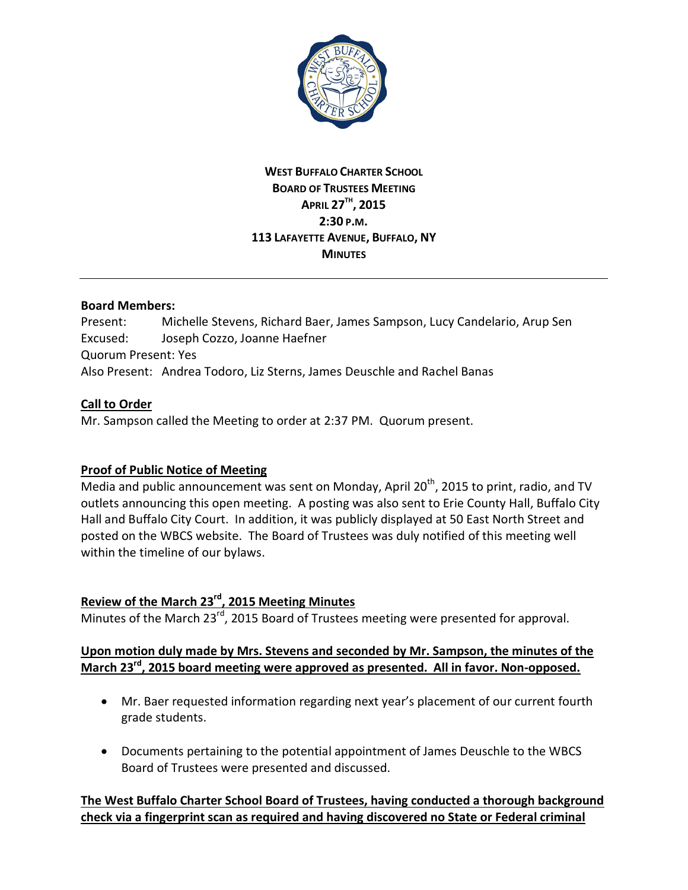

## **WEST BUFFALO CHARTER SCHOOL BOARD OF TRUSTEES MEETING APRIL 27TH, 2015 2:30 P.M. 113 LAFAYETTE AVENUE, BUFFALO, NY MINUTES**

#### **Board Members:**

Present: Michelle Stevens, Richard Baer, James Sampson, Lucy Candelario, Arup Sen Excused: Joseph Cozzo, Joanne Haefner Quorum Present: Yes Also Present: Andrea Todoro, Liz Sterns, James Deuschle and Rachel Banas

#### **Call to Order**

Mr. Sampson called the Meeting to order at 2:37 PM. Quorum present.

# **Proof of Public Notice of Meeting**

Media and public announcement was sent on Monday, April 20<sup>th</sup>, 2015 to print, radio, and TV outlets announcing this open meeting. A posting was also sent to Erie County Hall, Buffalo City Hall and Buffalo City Court. In addition, it was publicly displayed at 50 East North Street and posted on the WBCS website. The Board of Trustees was duly notified of this meeting well within the timeline of our bylaws.

# **Review of the March 23rd, 2015 Meeting Minutes**

Minutes of the March  $23^{rd}$ , 2015 Board of Trustees meeting were presented for approval.

## **Upon motion duly made by Mrs. Stevens and seconded by Mr. Sampson, the minutes of the March 23rd, 2015 board meeting were approved as presented. All in favor. Non-opposed.**

- · Mr. Baer requested information regarding next year's placement of our current fourth grade students.
- · Documents pertaining to the potential appointment of James Deuschle to the WBCS Board of Trustees were presented and discussed.

**The West Buffalo Charter School Board of Trustees, having conducted a thorough background check via a fingerprint scan as required and having discovered no State or Federal criminal**